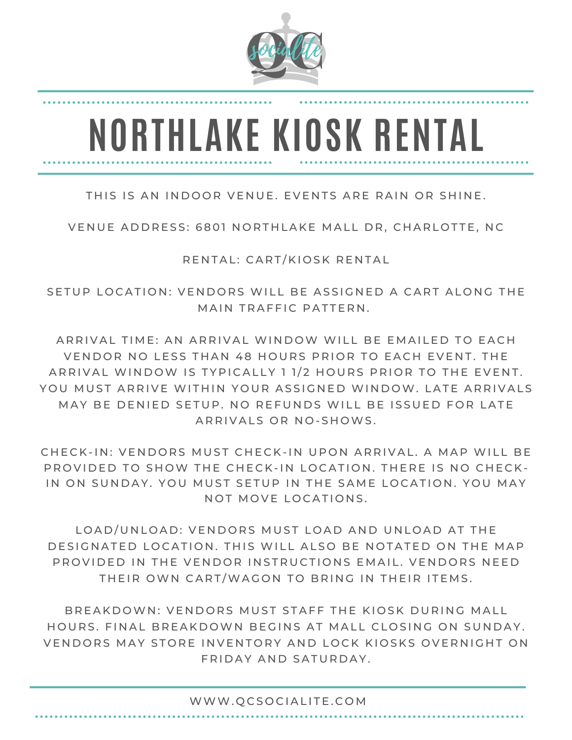

## **NORTHLAKE KIOSK RENTAL**

## THIS IS AN INDOOR VENUE. EVENTS ARE RAIN OR SHINE.

VENUE ADDRESS: 6801 NORTHLAKE MALL DR. CHARLOTTE, NC

RENTAL: CART/KIOSK RENTAL

SETUP LOCATION: VENDORS WILL BE ASSIGNED A CART ALONG THE MAIN TRAFFIC PATTERN.

ARRIVAL TIME: AN ARRIVAL WINDOW WILL BE EMAILED TO EACH VENDOR NO LESS THAN 48 HOURS PRIOR TO EACH EVENT. THE ARRIVAL WINDOW IS TYPICALLY 1 1/2 HOURS PRIOR TO THE EVENT. YOU MUST ARRIVE WITHIN YOUR ASSIGNED WINDOW. LATE ARRIVALS MAY BE DENIED SETUP. NO REFUNDS WILL BE ISSUED FOR LATE ARRIVALS OR NO-SHOWS.

CHECK-IN: VENDORS MUST CHECK-IN UPON ARRIVAL. A MAP WILL BE PROVIDED TO SHOW THE CHECK-IN LOCATION. THERE IS NO CHECK-IN ON SUNDAY. YOU MUST SETUP IN THE SAME LOCATION, YOU MAY NOT MOVE LOCATIONS.

LOAD/UNLOAD: VENDORS MUST LOAD AND UNLOAD AT THE DESIGNATED LOCATION. THIS WILL ALSO BE NOTATED ON THE MAP PROVIDED IN THE VENDOR INSTRUCTIONS EMAIL. VENDORS NEED THEIR OWN CART/WAGON TO BRING IN THEIR ITEMS.

BREAKDOWN: VENDORS MUST STAFF THE KIOSK DURING MALL HOURS. FINAL BREAKDOWN BEGINS AT MALL CLOSING ON SUNDAY. VENDORS MAY STORE INVENTORY AND LOCK KIOSKS OVERNIGHT ON FRIDAY AND SATURDAY.

## WWW. QCSOCIALITE.COM